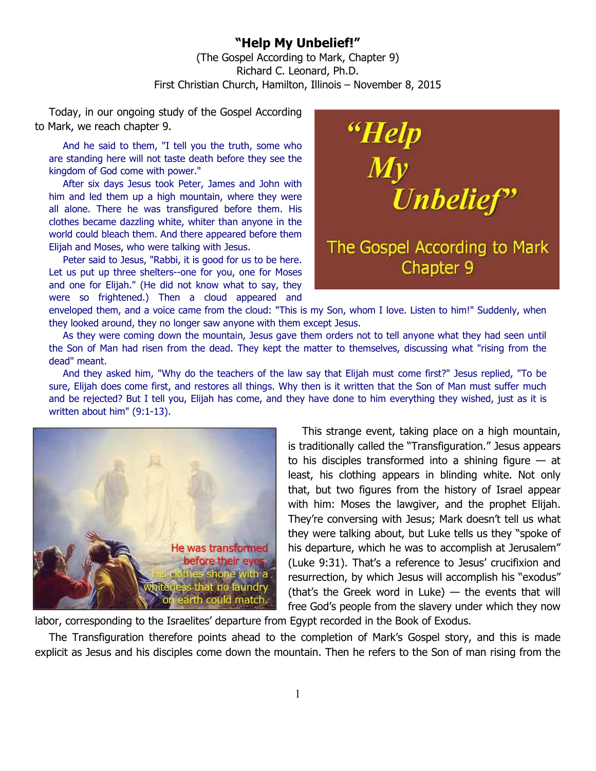## **"Help My Unbelief!"**  (The Gospel According to Mark, Chapter 9) Richard C. Leonard, Ph.D. First Christian Church, Hamilton, Illinois – November 8, 2015

Today, in our ongoing study of the Gospel According to Mark, we reach chapter 9.

And he said to them, "I tell you the truth, some who are standing here will not taste death before they see the kingdom of God come with power."

After six days Jesus took Peter, James and John with him and led them up a high mountain, where they were all alone. There he was transfigured before them. His clothes became dazzling white, whiter than anyone in the world could bleach them. And there appeared before them Elijah and Moses, who were talking with Jesus.

Peter said to Jesus, "Rabbi, it is good for us to be here. Let us put up three shelters--one for you, one for Moses and one for Elijah." (He did not know what to say, they were so frightened.) Then a cloud appeared and



enveloped them, and a voice came from the cloud: "This is my Son, whom I love. Listen to him!" Suddenly, when they looked around, they no longer saw anyone with them except Jesus.

As they were coming down the mountain, Jesus gave them orders not to tell anyone what they had seen until the Son of Man had risen from the dead. They kept the matter to themselves, discussing what "rising from the dead" meant.

And they asked him, "Why do the teachers of the law say that Elijah must come first?" Jesus replied, "To be sure, Elijah does come first, and restores all things. Why then is it written that the Son of Man must suffer much and be rejected? But I tell you, Elijah has come, and they have done to him everything they wished, just as it is written about him" (9:1-13).



This strange event, taking place on a high mountain, is traditionally called the "Transfiguration." Jesus appears to his disciples transformed into a shining figure  $-$  at least, his clothing appears in blinding white. Not only that, but two figures from the history of Israel appear with him: Moses the lawgiver, and the prophet Elijah. They're conversing with Jesus; Mark doesn't tell us what they were talking about, but Luke tells us they "spoke of his departure, which he was to accomplish at Jerusalem" (Luke 9:31). That's a reference to Jesus' crucifixion and resurrection, by which Jesus will accomplish his "exodus" (that's the Greek word in Luke) — the events that will free God's people from the slavery under which they now

labor, corresponding to the Israelites' departure from Egypt recorded in the Book of Exodus.

The Transfiguration therefore points ahead to the completion of Mark's Gospel story, and this is made explicit as Jesus and his disciples come down the mountain. Then he refers to the Son of man rising from the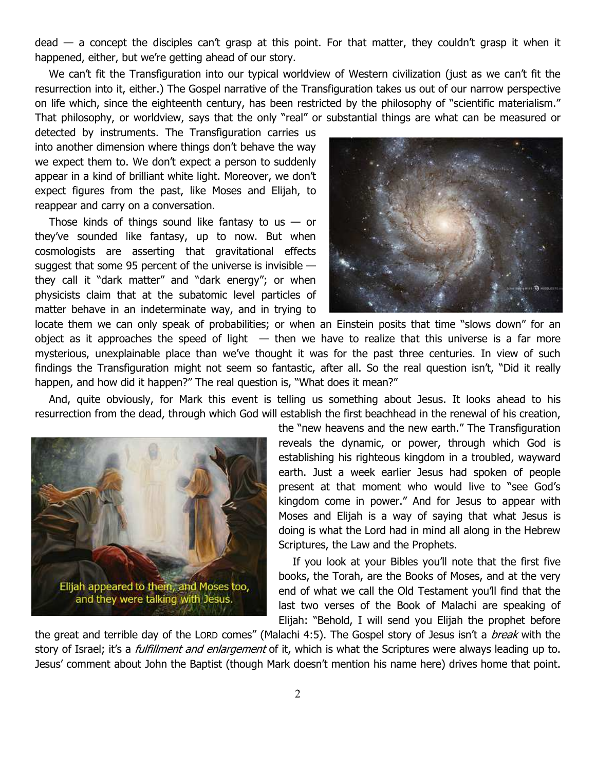$dead - a$  concept the disciples can't grasp at this point. For that matter, they couldn't grasp it when it happened, either, but we're getting ahead of our story.

We can't fit the Transfiguration into our typical worldview of Western civilization (just as we can't fit the resurrection into it, either.) The Gospel narrative of the Transfiguration takes us out of our narrow perspective on life which, since the eighteenth century, has been restricted by the philosophy of "scientific materialism." That philosophy, or worldview, says that the only "real" or substantial things are what can be measured or

detected by instruments. The Transfiguration carries us into another dimension where things don't behave the way we expect them to. We don't expect a person to suddenly appear in a kind of brilliant white light. Moreover, we don't expect figures from the past, like Moses and Elijah, to reappear and carry on a conversation.

Those kinds of things sound like fantasy to us  $-$  or they've sounded like fantasy, up to now. But when cosmologists are asserting that gravitational effects suggest that some 95 percent of the universe is invisible they call it "dark matter" and "dark energy"; or when physicists claim that at the subatomic level particles of matter behave in an indeterminate way, and in trying to



locate them we can only speak of probabilities; or when an Einstein posits that time "slows down" for an object as it approaches the speed of light  $-$  then we have to realize that this universe is a far more mysterious, unexplainable place than we've thought it was for the past three centuries. In view of such findings the Transfiguration might not seem so fantastic, after all. So the real question isn't, "Did it really happen, and how did it happen?" The real question is, "What does it mean?"

And, quite obviously, for Mark this event is telling us something about Jesus. It looks ahead to his resurrection from the dead, through which God will establish the first beachhead in the renewal of his creation,



the "new heavens and the new earth." The Transfiguration reveals the dynamic, or power, through which God is establishing his righteous kingdom in a troubled, wayward earth. Just a week earlier Jesus had spoken of people present at that moment who would live to "see God's kingdom come in power." And for Jesus to appear with Moses and Elijah is a way of saying that what Jesus is doing is what the Lord had in mind all along in the Hebrew Scriptures, the Law and the Prophets.

If you look at your Bibles you'll note that the first five books, the Torah, are the Books of Moses, and at the very end of what we call the Old Testament you'll find that the last two verses of the Book of Malachi are speaking of Elijah: "Behold, I will send you Elijah the prophet before

the great and terrible day of the LORD comes" (Malachi 4:5). The Gospel story of Jesus isn't a *break* with the story of Israel; it's a *fulfillment and enlargement* of it, which is what the Scriptures were always leading up to. Jesus' comment about John the Baptist (though Mark doesn't mention his name here) drives home that point.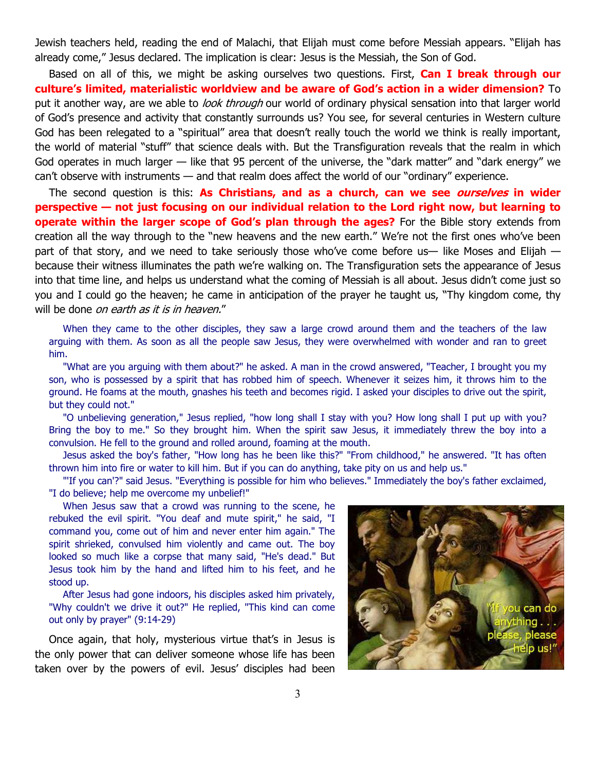Jewish teachers held, reading the end of Malachi, that Elijah must come before Messiah appears. "Elijah has already come," Jesus declared. The implication is clear: Jesus is the Messiah, the Son of God.

Based on all of this, we might be asking ourselves two questions. First, **Can I break through our culture's limited, materialistic worldview and be aware of God's action in a wider dimension?** To put it another way, are we able to *look through* our world of ordinary physical sensation into that larger world of God's presence and activity that constantly surrounds us? You see, for several centuries in Western culture God has been relegated to a "spiritual" area that doesn't really touch the world we think is really important, the world of material "stuff" that science deals with. But the Transfiguration reveals that the realm in which God operates in much larger — like that 95 percent of the universe, the "dark matter" and "dark energy" we can't observe with instruments — and that realm does affect the world of our "ordinary" experience.

The second question is this: **As Christians, and as a church, can we see ourselves in wider perspective — not just focusing on our individual relation to the Lord right now, but learning to operate within the larger scope of God's plan through the ages?** For the Bible story extends from creation all the way through to the "new heavens and the new earth." We're not the first ones who've been part of that story, and we need to take seriously those who've come before us— like Moses and Elijah because their witness illuminates the path we're walking on. The Transfiguration sets the appearance of Jesus into that time line, and helps us understand what the coming of Messiah is all about. Jesus didn't come just so you and I could go the heaven; he came in anticipation of the prayer he taught us, "Thy kingdom come, thy will be done on earth as it is in heaven."

When they came to the other disciples, they saw a large crowd around them and the teachers of the law arguing with them. As soon as all the people saw Jesus, they were overwhelmed with wonder and ran to greet him.

"What are you arguing with them about?" he asked. A man in the crowd answered, "Teacher, I brought you my son, who is possessed by a spirit that has robbed him of speech. Whenever it seizes him, it throws him to the ground. He foams at the mouth, gnashes his teeth and becomes rigid. I asked your disciples to drive out the spirit, but they could not."

"O unbelieving generation," Jesus replied, "how long shall I stay with you? How long shall I put up with you? Bring the boy to me." So they brought him. When the spirit saw Jesus, it immediately threw the boy into a convulsion. He fell to the ground and rolled around, foaming at the mouth.

Jesus asked the boy's father, "How long has he been like this?" "From childhood," he answered. "It has often thrown him into fire or water to kill him. But if you can do anything, take pity on us and help us."

"'If you can'?" said Jesus. "Everything is possible for him who believes." Immediately the boy's father exclaimed, "I do believe; help me overcome my unbelief!"

When Jesus saw that a crowd was running to the scene, he rebuked the evil spirit. "You deaf and mute spirit," he said, "I command you, come out of him and never enter him again." The spirit shrieked, convulsed him violently and came out. The boy looked so much like a corpse that many said, "He's dead." But Jesus took him by the hand and lifted him to his feet, and he stood up.

After Jesus had gone indoors, his disciples asked him privately, "Why couldn't we drive it out?" He replied, "This kind can come out only by prayer" (9:14-29)

Once again, that holy, mysterious virtue that's in Jesus is the only power that can deliver someone whose life has been taken over by the powers of evil. Jesus' disciples had been

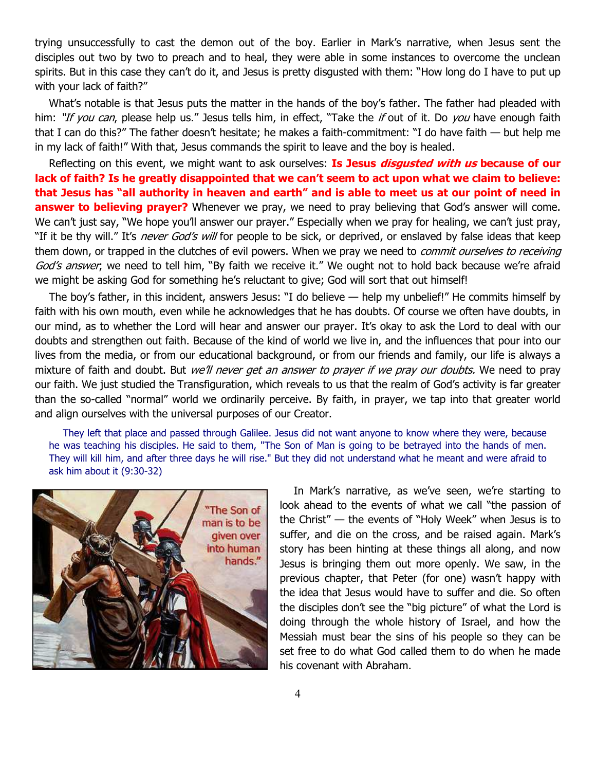trying unsuccessfully to cast the demon out of the boy. Earlier in Mark's narrative, when Jesus sent the disciples out two by two to preach and to heal, they were able in some instances to overcome the unclean spirits. But in this case they can't do it, and Jesus is pretty disgusted with them: "How long do I have to put up with your lack of faith?"

What's notable is that Jesus puts the matter in the hands of the boy's father. The father had pleaded with him: "If you can, please help us." Jesus tells him, in effect, "Take the if out of it. Do you have enough faith that I can do this?" The father doesn't hesitate; he makes a faith-commitment: "I do have faith — but help me in my lack of faith!" With that, Jesus commands the spirit to leave and the boy is healed.

Reflecting on this event, we might want to ask ourselves: **Is Jesus disgusted with us because of our lack of faith? Is he greatly disappointed that we can't seem to act upon what we claim to believe: that Jesus has "all authority in heaven and earth" and is able to meet us at our point of need in answer to believing prayer?** Whenever we pray, we need to pray believing that God's answer will come. We can't just say, "We hope you'll answer our prayer." Especially when we pray for healing, we can't just pray, "If it be thy will." It's *never God's will* for people to be sick, or deprived, or enslaved by false ideas that keep them down, or trapped in the clutches of evil powers. When we pray we need to *commit ourselves to receiving* God's answer, we need to tell him, "By faith we receive it." We ought not to hold back because we're afraid we might be asking God for something he's reluctant to give; God will sort that out himself!

The boy's father, in this incident, answers Jesus: "I do believe — help my unbelief!" He commits himself by faith with his own mouth, even while he acknowledges that he has doubts. Of course we often have doubts, in our mind, as to whether the Lord will hear and answer our prayer. It's okay to ask the Lord to deal with our doubts and strengthen out faith. Because of the kind of world we live in, and the influences that pour into our lives from the media, or from our educational background, or from our friends and family, our life is always a mixture of faith and doubt. But *we'll never get an answer to prayer if we pray our doubts.* We need to pray our faith. We just studied the Transfiguration, which reveals to us that the realm of God's activity is far greater than the so-called "normal" world we ordinarily perceive. By faith, in prayer, we tap into that greater world and align ourselves with the universal purposes of our Creator.

They left that place and passed through Galilee. Jesus did not want anyone to know where they were, because he was teaching his disciples. He said to them, "The Son of Man is going to be betrayed into the hands of men. They will kill him, and after three days he will rise." But they did not understand what he meant and were afraid to ask him about it (9:30-32)



In Mark's narrative, as we've seen, we're starting to look ahead to the events of what we call "the passion of the Christ" — the events of "Holy Week" when Jesus is to suffer, and die on the cross, and be raised again. Mark's story has been hinting at these things all along, and now Jesus is bringing them out more openly. We saw, in the previous chapter, that Peter (for one) wasn't happy with the idea that Jesus would have to suffer and die. So often the disciples don't see the "big picture" of what the Lord is doing through the whole history of Israel, and how the Messiah must bear the sins of his people so they can be set free to do what God called them to do when he made his covenant with Abraham.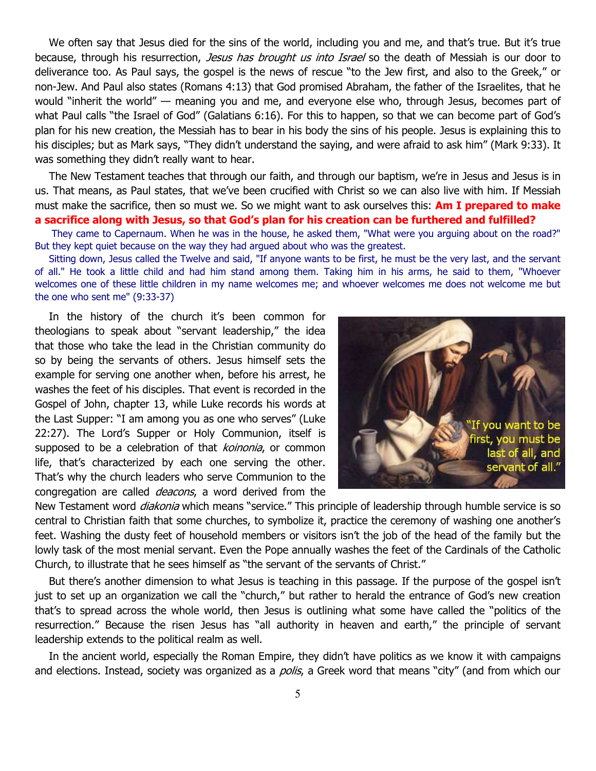We often say that Jesus died for the sins of the world, including you and me, and that's true. But it's true because, through his resurrection, *Jesus has brought us into Israel* so the death of Messiah is our door to deliverance too. As Paul says, the gospel is the news of rescue "to the Jew first, and also to the Greek," or non-Jew. And Paul also states (Romans 4:13) that God promised Abraham, the father of the Israelites, that he would "inherit the world" — meaning you and me, and everyone else who, through Jesus, becomes part of what Paul calls "the Israel of God" (Galatians 6:16). For this to happen, so that we can become part of God's plan for his new creation, the Messiah has to bear in his body the sins of his people. Jesus is explaining this to his disciples; but as Mark says, "They didn't understand the saying, and were afraid to ask him" (Mark 9:33). It was something they didn't really want to hear.

The New Testament teaches that through our faith, and through our baptism, we're in Jesus and Jesus is in us. That means, as Paul states, that we've been crucified with Christ so we can also live with him. If Messiah must make the sacrifice, then so must we. So we might want to ask ourselves this: **Am I prepared to make a sacrifice along with Jesus, so that God's plan for his creation can be furthered and fulfilled?** 

They came to Capernaum. When he was in the house, he asked them, "What were you arguing about on the road?" But they kept quiet because on the way they had argued about who was the greatest.

Sitting down, Jesus called the Twelve and said, "If anyone wants to be first, he must be the very last, and the servant of all." He took a little child and had him stand among them. Taking him in his arms, he said to them, "Whoever welcomes one of these little children in my name welcomes me; and whoever welcomes me does not welcome me but the one who sent me" (9:33-37)

In the history of the church it's been common for theologians to speak about "servant leadership," the idea that those who take the lead in the Christian community do so by being the servants of others. Jesus himself sets the example for serving one another when, before his arrest, he washes the feet of his disciples. That event is recorded in the Gospel of John, chapter 13, while Luke records his words at the Last Supper: "I am among you as one who serves" (Luke 22:27). The Lord's Supper or Holy Communion, itself is supposed to be a celebration of that *koinonia*, or common life, that's characterized by each one serving the other. That's why the church leaders who serve Communion to the congregation are called *deacons*, a word derived from the



New Testament word *diakonia* which means "service." This principle of leadership through humble service is so central to Christian faith that some churches, to symbolize it, practice the ceremony of washing one another's feet. Washing the dusty feet of household members or visitors isn't the job of the head of the family but the lowly task of the most menial servant. Even the Pope annually washes the feet of the Cardinals of the Catholic Church, to illustrate that he sees himself as "the servant of the servants of Christ."

But there's another dimension to what Jesus is teaching in this passage. If the purpose of the gospel isn't just to set up an organization we call the "church," but rather to herald the entrance of God's new creation that's to spread across the whole world, then Jesus is outlining what some have called the "politics of the resurrection." Because the risen Jesus has "all authority in heaven and earth," the principle of servant leadership extends to the political realm as well.

In the ancient world, especially the Roman Empire, they didn't have politics as we know it with campaigns and elections. Instead, society was organized as a *polis*, a Greek word that means "city" (and from which our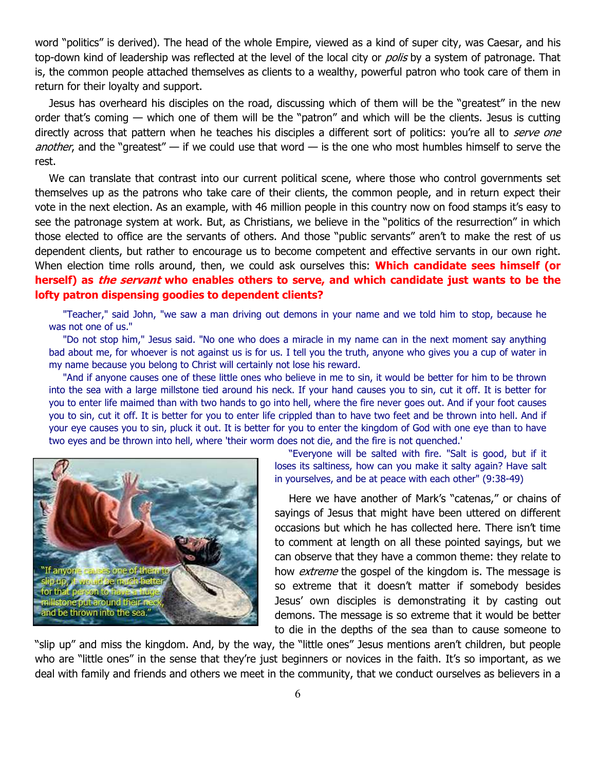word "politics" is derived). The head of the whole Empire, viewed as a kind of super city, was Caesar, and his top-down kind of leadership was reflected at the level of the local city or *polis* by a system of patronage. That is, the common people attached themselves as clients to a wealthy, powerful patron who took care of them in return for their loyalty and support.

Jesus has overheard his disciples on the road, discussing which of them will be the "greatest" in the new order that's coming — which one of them will be the "patron" and which will be the clients. Jesus is cutting directly across that pattern when he teaches his disciples a different sort of politics: you're all to serve one another, and the "greatest" — if we could use that word — is the one who most humbles himself to serve the rest.

We can translate that contrast into our current political scene, where those who control governments set themselves up as the patrons who take care of their clients, the common people, and in return expect their vote in the next election. As an example, with 46 million people in this country now on food stamps it's easy to see the patronage system at work. But, as Christians, we believe in the "politics of the resurrection" in which those elected to office are the servants of others. And those "public servants" aren't to make the rest of us dependent clients, but rather to encourage us to become competent and effective servants in our own right. When election time rolls around, then, we could ask ourselves this: **Which candidate sees himself (or herself) as the servant who enables others to serve, and which candidate just wants to be the lofty patron dispensing goodies to dependent clients?**

"Teacher," said John, "we saw a man driving out demons in your name and we told him to stop, because he was not one of us."

"Do not stop him," Jesus said. "No one who does a miracle in my name can in the next moment say anything bad about me, for whoever is not against us is for us. I tell you the truth, anyone who gives you a cup of water in my name because you belong to Christ will certainly not lose his reward.

"And if anyone causes one of these little ones who believe in me to sin, it would be better for him to be thrown into the sea with a large millstone tied around his neck. If your hand causes you to sin, cut it off. It is better for you to enter life maimed than with two hands to go into hell, where the fire never goes out. And if your foot causes you to sin, cut it off. It is better for you to enter life crippled than to have two feet and be thrown into hell. And if your eye causes you to sin, pluck it out. It is better for you to enter the kingdom of God with one eye than to have two eyes and be thrown into hell, where 'their worm does not die, and the fire is not quenched.'



"Everyone will be salted with fire. "Salt is good, but if it loses its saltiness, how can you make it salty again? Have salt in yourselves, and be at peace with each other" (9:38-49)

Here we have another of Mark's "catenas," or chains of sayings of Jesus that might have been uttered on different occasions but which he has collected here. There isn't time to comment at length on all these pointed sayings, but we can observe that they have a common theme: they relate to how *extreme* the gospel of the kingdom is. The message is so extreme that it doesn't matter if somebody besides Jesus' own disciples is demonstrating it by casting out demons. The message is so extreme that it would be better to die in the depths of the sea than to cause someone to

"slip up" and miss the kingdom. And, by the way, the "little ones" Jesus mentions aren't children, but people who are "little ones" in the sense that they're just beginners or novices in the faith. It's so important, as we deal with family and friends and others we meet in the community, that we conduct ourselves as believers in a